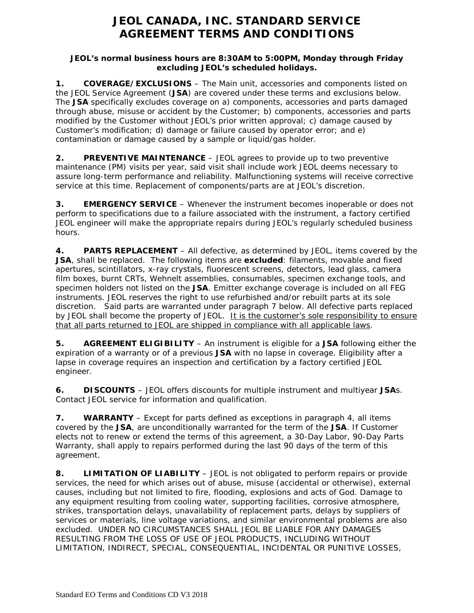# **JEOL CANADA, INC. STANDARD SERVICE AGREEMENT TERMS AND CONDITIONS**

### **JEOL's normal business hours are 8:30AM to 5:00PM, Monday through Friday excluding JEOL's scheduled holidays.**

**1. COVERAGE/EXCLUSIONS** – The Main unit, accessories and components listed on the JEOL Service Agreement (**JSA**) are covered under these terms and exclusions below. The **JSA** specifically excludes coverage on a) components, accessories and parts damaged through abuse, misuse or accident by the Customer; b) components, accessories and parts modified by the Customer without JEOL's prior written approval; c) damage caused by Customer's modification; d) damage or failure caused by operator error; and e) contamination or damage caused by a sample or liquid/gas holder.

**2. PREVENTIVE MAINTENANCE** – JEOL agrees to provide up to two preventive maintenance (PM) visits per year, said visit shall include work JEOL deems necessary to assure long-term performance and reliability. Malfunctioning systems will receive corrective service at this time. Replacement of components/parts are at JEOL's discretion.

**3. EMERGENCY SERVICE** – Whenever the instrument becomes inoperable or does not perform to specifications due to a failure associated with the instrument, a factory certified JEOL engineer will make the appropriate repairs during JEOL's regularly scheduled business hours.

**4. PARTS REPLACEMENT** – All defective, as determined by JEOL, items covered by the **JSA**, shall be replaced. The following items are **excluded**: filaments, movable and fixed apertures, scintillators, x-ray crystals, fluorescent screens, detectors, lead glass, camera film boxes, burnt CRTs, Wehnelt assemblies, consumables, specimen exchange tools, and specimen holders not listed on the **JSA**. Emitter exchange coverage is included on all FEG instruments. JEOL reserves the right to use refurbished and/or rebuilt parts at its sole discretion. Said parts are warranted under paragraph 7 below. All defective parts replaced by JEOL shall become the property of JEOL. It is the customer's sole responsibility to ensure that all parts returned to JEOL are shipped in compliance with all applicable laws.

**5. AGREEMENT ELIGIBILITY** – An instrument is eligible for a **JSA** following either the expiration of a warranty or of a previous **JSA** with no lapse in coverage. Eligibility after a lapse in coverage requires an inspection and certification by a factory certified JEOL engineer.

**6. DISCOUNTS** – JEOL offers discounts for multiple instrument and multiyear **JSA**s. Contact JEOL service for information and qualification.

**7. WARRANTY** – Except for parts defined as exceptions in paragraph 4, all items covered by the **JSA**, are unconditionally warranted for the term of the **JSA**. If Customer elects not to renew or extend the terms of this agreement, a 30-Day Labor, 90-Day Parts Warranty, shall apply to repairs performed during the last 90 days of the term of this agreement.

**8. LIMITATION OF LIABILITY** – JEOL is not obligated to perform repairs or provide services, the need for which arises out of abuse, misuse (accidental or otherwise), external causes, including but not limited to fire, flooding, explosions and acts of God. Damage to any equipment resulting from cooling water, supporting facilities, corrosive atmosphere, strikes, transportation delays, unavailability of replacement parts, delays by suppliers of services or materials, line voltage variations, and similar environmental problems are also excluded. UNDER NO CIRCUMSTANCES SHALL JEOL BE LIABLE FOR ANY DAMAGES RESULTING FROM THE LOSS OF USE OF JEOL PRODUCTS, INCLUDING WITHOUT LIMITATION, INDIRECT, SPECIAL, CONSEQUENTIAL, INCIDENTAL OR PUNITIVE LOSSES,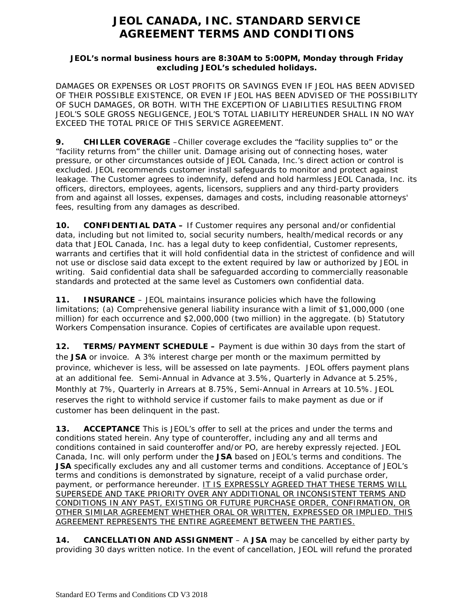# **JEOL CANADA, INC. STANDARD SERVICE AGREEMENT TERMS AND CONDITIONS**

### **JEOL's normal business hours are 8:30AM to 5:00PM, Monday through Friday excluding JEOL's scheduled holidays.**

DAMAGES OR EXPENSES OR LOST PROFITS OR SAVINGS EVEN IF JEOL HAS BEEN ADVISED OF THEIR POSSIBLE EXISTENCE, OR EVEN IF JEOL HAS BEEN ADVISED OF THE POSSIBILITY OF SUCH DAMAGES, OR BOTH. WITH THE EXCEPTION OF LIABILITIES RESULTING FROM JEOL'S SOLE GROSS NEGLIGENCE, JEOL'S TOTAL LIABILITY HEREUNDER SHALL IN NO WAY EXCEED THE TOTAL PRICE OF THIS SERVICE AGREEMENT.

**9. CHILLER COVERAGE** –Chiller coverage excludes the "facility supplies to" or the "facility returns from" the chiller unit. Damage arising out of connecting hoses, water pressure, or other circumstances outside of JEOL Canada, Inc.'s direct action or control is excluded. JEOL recommends customer install safeguards to monitor and protect against leakage. The Customer agrees to indemnify, defend and hold harmless JEOL Canada, Inc. its officers, directors, employees, agents, licensors, suppliers and any third-party providers from and against all losses, expenses, damages and costs, including reasonable attorneys' fees, resulting from any damages as described.

**10. CONFIDENTIAL DATA –** If Customer requires any personal and/or confidential data, including but not limited to, social security numbers, health/medical records or any data that JEOL Canada, Inc. has a legal duty to keep confidential, Customer represents, warrants and certifies that it will hold confidential data in the strictest of confidence and will not use or disclose said data except to the extent required by law or authorized by JEOL in writing. Said confidential data shall be safeguarded according to commercially reasonable standards and protected at the same level as Customers own confidential data.

**11. INSURANCE** – JEOL maintains insurance policies which have the following limitations; (a) Comprehensive general liability insurance with a limit of \$1,000,000 (one million) for each occurrence and \$2,000,000 (two million) in the aggregate. (b) Statutory Workers Compensation insurance. Copies of certificates are available upon request.

**12. TERMS/PAYMENT SCHEDULE –** Payment is due within 30 days from the start of the **JSA** or invoice. A 3% interest charge per month or the maximum permitted by province, whichever is less, will be assessed on late payments. JEOL offers payment plans at an additional fee. Semi-Annual in Advance at 3.5%, Quarterly in Advance at 5.25%, Monthly at 7%, Quarterly in Arrears at 8.75%, Semi-Annual in Arrears at 10.5%. JEOL reserves the right to withhold service if customer fails to make payment as due or if customer has been delinquent in the past.

**13. ACCEPTANCE** This is JEOL's offer to sell at the prices and under the terms and conditions stated herein. Any type of counteroffer, including any and all terms and conditions contained in said counteroffer and/or PO, are hereby expressly rejected. JEOL Canada, Inc. will only perform under the **JSA** based on JEOL's terms and conditions. The **JSA** specifically excludes any and all customer terms and conditions. Acceptance of JEOL's terms and conditions is demonstrated by signature, receipt of a valid purchase order, payment, or performance hereunder. IT IS EXPRESSLY AGREED THAT THESE TERMS WILL SUPERSEDE AND TAKE PRIORITY OVER ANY ADDITIONAL OR INCONSISTENT TERMS AND CONDITIONS IN ANY PAST, EXISTING OR FUTURE PURCHASE ORDER, CONFIRMATION, OR OTHER SIMILAR AGREEMENT WHETHER ORAL OR WRITTEN, EXPRESSED OR IMPLIED. THIS AGREEMENT REPRESENTS THE ENTIRE AGREEMENT BETWEEN THE PARTIES.

**14. CANCELLATION AND ASSIGNMENT** – A **JSA** may be cancelled by either party by providing 30 days written notice. In the event of cancellation, JEOL will refund the prorated